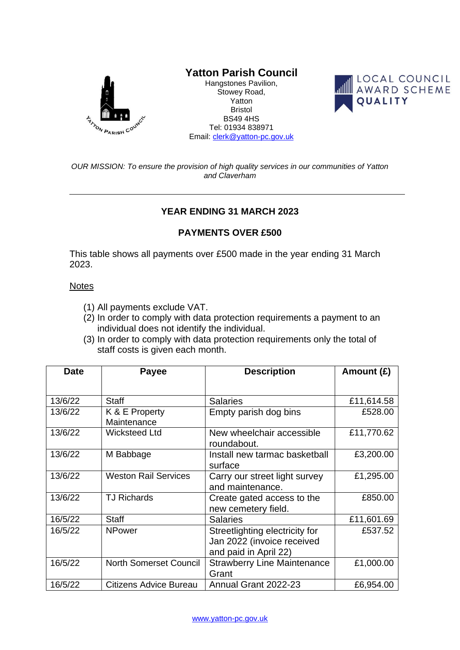

## **Yatton Parish Council**

Hangstones Pavilion, Stowey Road, Yatton Bristol BS49 4HS Tel: 01934 838971 Email: [clerk@yatton-pc.gov.uk](mailto:clerk@yatton-pc.gov.uk)



*OUR MISSION: To ensure the provision of high quality services in our communities of Yatton and Claverham*

## **YEAR ENDING 31 MARCH 2023**

## **PAYMENTS OVER £500**

This table shows all payments over £500 made in the year ending 31 March 2023.

## **Notes**

- (1) All payments exclude VAT.
- (2) In order to comply with data protection requirements a payment to an individual does not identify the individual.
- (3) In order to comply with data protection requirements only the total of staff costs is given each month.

| <b>Date</b> | Payee                         | <b>Description</b>                                                                    | Amount $(E)$ |
|-------------|-------------------------------|---------------------------------------------------------------------------------------|--------------|
|             |                               |                                                                                       |              |
| 13/6/22     | <b>Staff</b>                  | <b>Salaries</b>                                                                       | £11,614.58   |
| 13/6/22     | K & E Property<br>Maintenance | Empty parish dog bins                                                                 | £528.00      |
| 13/6/22     | <b>Wicksteed Ltd</b>          | New wheelchair accessible<br>roundabout.                                              | £11,770.62   |
| 13/6/22     | M Babbage                     | Install new tarmac basketball<br>surface                                              | £3,200.00    |
| 13/6/22     | <b>Weston Rail Services</b>   | Carry our street light survey<br>and maintenance.                                     | £1,295.00    |
| 13/6/22     | <b>TJ Richards</b>            | Create gated access to the<br>new cemetery field.                                     | £850.00      |
| 16/5/22     | <b>Staff</b>                  | <b>Salaries</b>                                                                       | £11,601.69   |
| 16/5/22     | <b>NPower</b>                 | Streetlighting electricity for<br>Jan 2022 (invoice received<br>and paid in April 22) | £537.52      |
| 16/5/22     | <b>North Somerset Council</b> | <b>Strawberry Line Maintenance</b><br>Grant                                           | £1,000.00    |
| 16/5/22     | Citizens Advice Bureau        | Annual Grant 2022-23                                                                  | £6,954.00    |